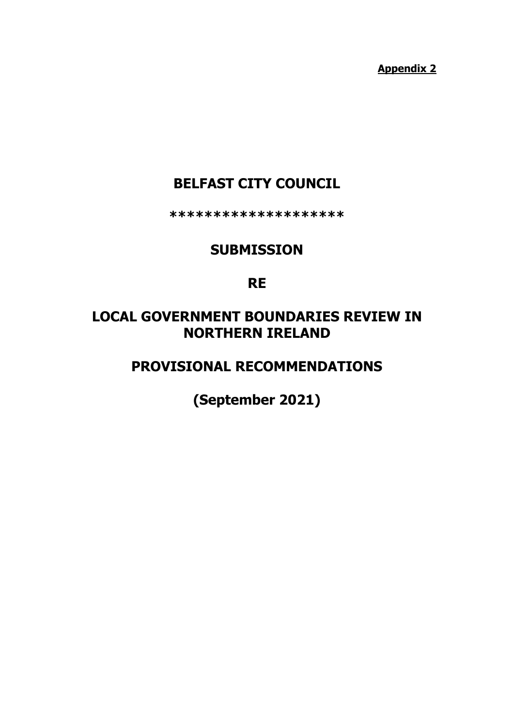**Appendix 2**

# **BELFAST CITY COUNCIL**

**\*\*\*\*\*\*\*\*\*\*\*\*\*\*\*\*\*\*\*\***

## **SUBMISSION**

## **RE**

# **LOCAL GOVERNMENT BOUNDARIES REVIEW IN NORTHERN IRELAND**

# **PROVISIONAL RECOMMENDATIONS**

**(September 2021)**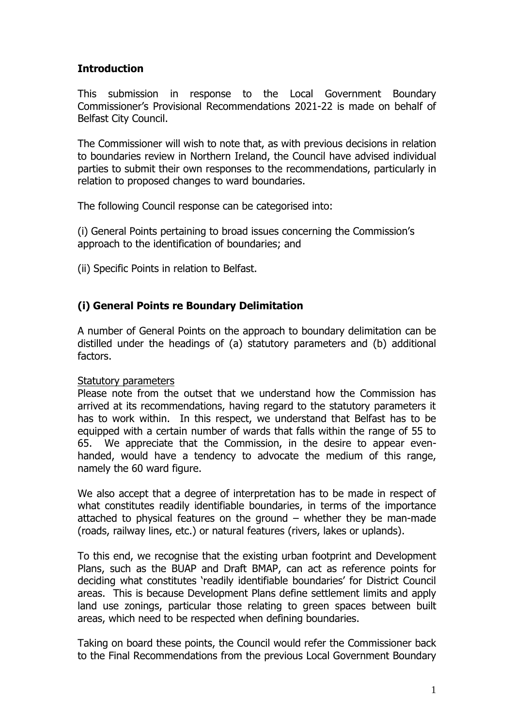## **Introduction**

This submission in response to the Local Government Boundary Commissioner's Provisional Recommendations 2021-22 is made on behalf of Belfast City Council.

The Commissioner will wish to note that, as with previous decisions in relation to boundaries review in Northern Ireland, the Council have advised individual parties to submit their own responses to the recommendations, particularly in relation to proposed changes to ward boundaries.

The following Council response can be categorised into:

(i) General Points pertaining to broad issues concerning the Commission's approach to the identification of boundaries; and

(ii) Specific Points in relation to Belfast.

## **(i) General Points re Boundary Delimitation**

A number of General Points on the approach to boundary delimitation can be distilled under the headings of (a) statutory parameters and (b) additional factors.

#### Statutory parameters

Please note from the outset that we understand how the Commission has arrived at its recommendations, having regard to the statutory parameters it has to work within. In this respect, we understand that Belfast has to be equipped with a certain number of wards that falls within the range of 55 to 65. We appreciate that the Commission, in the desire to appear evenhanded, would have a tendency to advocate the medium of this range, namely the 60 ward figure.

We also accept that a degree of interpretation has to be made in respect of what constitutes readily identifiable boundaries, in terms of the importance attached to physical features on the ground – whether they be man-made (roads, railway lines, etc.) or natural features (rivers, lakes or uplands).

To this end, we recognise that the existing urban footprint and Development Plans, such as the BUAP and Draft BMAP, can act as reference points for deciding what constitutes 'readily identifiable boundaries' for District Council areas. This is because Development Plans define settlement limits and apply land use zonings, particular those relating to green spaces between built areas, which need to be respected when defining boundaries.

Taking on board these points, the Council would refer the Commissioner back to the Final Recommendations from the previous Local Government Boundary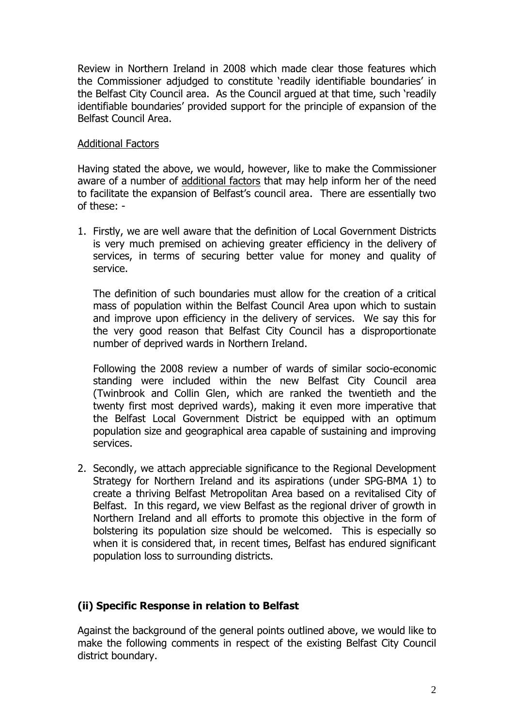Review in Northern Ireland in 2008 which made clear those features which the Commissioner adjudged to constitute 'readily identifiable boundaries' in the Belfast City Council area. As the Council argued at that time, such 'readily identifiable boundaries' provided support for the principle of expansion of the Belfast Council Area.

#### Additional Factors

Having stated the above, we would, however, like to make the Commissioner aware of a number of additional factors that may help inform her of the need to facilitate the expansion of Belfast's council area. There are essentially two of these: -

1. Firstly, we are well aware that the definition of Local Government Districts is very much premised on achieving greater efficiency in the delivery of services, in terms of securing better value for money and quality of service.

The definition of such boundaries must allow for the creation of a critical mass of population within the Belfast Council Area upon which to sustain and improve upon efficiency in the delivery of services. We say this for the very good reason that Belfast City Council has a disproportionate number of deprived wards in Northern Ireland.

Following the 2008 review a number of wards of similar socio-economic standing were included within the new Belfast City Council area (Twinbrook and Collin Glen, which are ranked the twentieth and the twenty first most deprived wards), making it even more imperative that the Belfast Local Government District be equipped with an optimum population size and geographical area capable of sustaining and improving services.

2. Secondly, we attach appreciable significance to the Regional Development Strategy for Northern Ireland and its aspirations (under SPG-BMA 1) to create a thriving Belfast Metropolitan Area based on a revitalised City of Belfast. In this regard, we view Belfast as the regional driver of growth in Northern Ireland and all efforts to promote this objective in the form of bolstering its population size should be welcomed. This is especially so when it is considered that, in recent times, Belfast has endured significant population loss to surrounding districts.

## **(ii) Specific Response in relation to Belfast**

Against the background of the general points outlined above, we would like to make the following comments in respect of the existing Belfast City Council district boundary.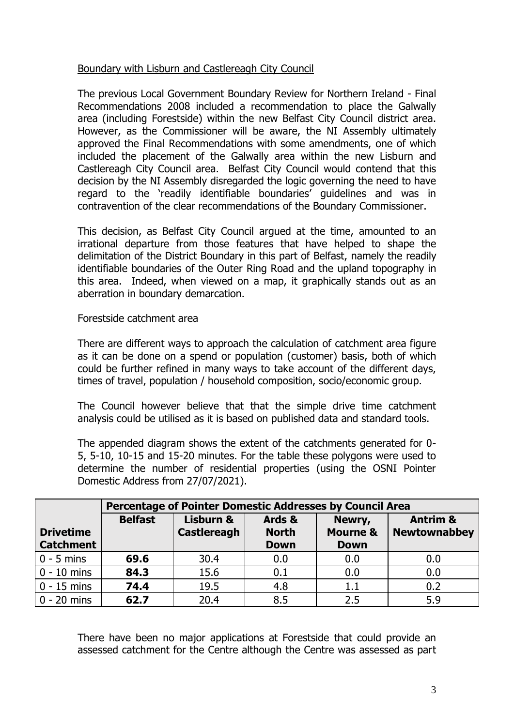### Boundary with Lisburn and Castlereagh City Council

The previous Local Government Boundary Review for Northern Ireland - Final Recommendations 2008 included a recommendation to place the Galwally area (including Forestside) within the new Belfast City Council district area. However, as the Commissioner will be aware, the NI Assembly ultimately approved the Final Recommendations with some amendments, one of which included the placement of the Galwally area within the new Lisburn and Castlereagh City Council area. Belfast City Council would contend that this decision by the NI Assembly disregarded the logic governing the need to have regard to the 'readily identifiable boundaries' guidelines and was in contravention of the clear recommendations of the Boundary Commissioner.

This decision, as Belfast City Council argued at the time, amounted to an irrational departure from those features that have helped to shape the delimitation of the District Boundary in this part of Belfast, namely the readily identifiable boundaries of the Outer Ring Road and the upland topography in this area. Indeed, when viewed on a map, it graphically stands out as an aberration in boundary demarcation.

#### Forestside catchment area

There are different ways to approach the calculation of catchment area figure as it can be done on a spend or population (customer) basis, both of which could be further refined in many ways to take account of the different days, times of travel, population / household composition, socio/economic group.

The Council however believe that that the simple drive time catchment analysis could be utilised as it is based on published data and standard tools.

The appended diagram shows the extent of the catchments generated for 0- 5, 5-10, 10-15 and 15-20 minutes. For the table these polygons were used to determine the number of residential properties (using the OSNI Pointer Domestic Address from 27/07/2021).

|                                      | <b>Percentage of Pointer Domestic Addresses by Council Area</b> |                                 |                                       |                                              |                                            |
|--------------------------------------|-----------------------------------------------------------------|---------------------------------|---------------------------------------|----------------------------------------------|--------------------------------------------|
| <b>Drivetime</b><br><b>Catchment</b> | <b>Belfast</b>                                                  | Lisburn &<br><b>Castlereagh</b> | Ards &<br><b>North</b><br><b>Down</b> | Newry,<br><b>Mourne &amp;</b><br><b>Down</b> | <b>Antrim &amp;</b><br><b>Newtownabbey</b> |
| $\vert 0 - 5$ mins                   | 69.6                                                            | 30.4                            | 0.0                                   | 0.0                                          | 0.0                                        |
| $\vert$ 0 - 10 mins                  | 84.3                                                            | 15.6                            | 0.1                                   | 0.0                                          | 0.0                                        |
| $\vert 0 - 15$ mins                  | 74.4                                                            | 19.5                            | 4.8                                   | 1.1                                          | 0.2                                        |
| $\vert$ 0 - 20 mins                  | 62.7                                                            | 20.4                            | 8.5                                   | 2.5                                          | 5.9                                        |

There have been no major applications at Forestside that could provide an assessed catchment for the Centre although the Centre was assessed as part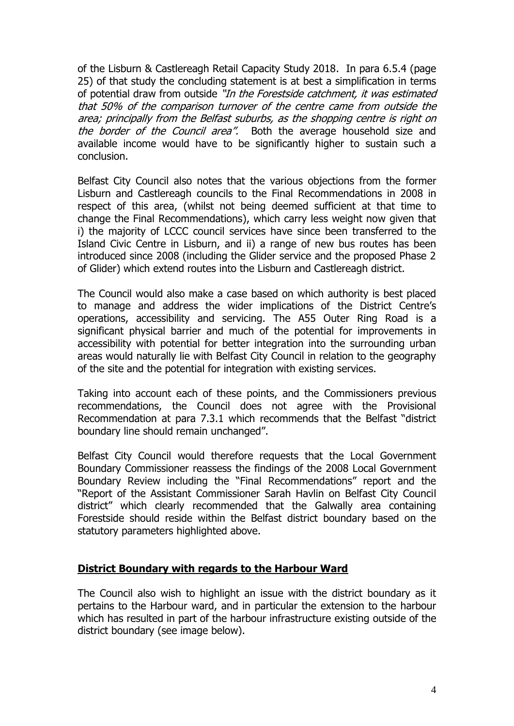of the Lisburn & Castlereagh Retail Capacity Study 2018. In para 6.5.4 (page 25) of that study the concluding statement is at best a simplification in terms of potential draw from outside "In the Forestside catchment, it was estimated that 50% of the comparison turnover of the centre came from outside the area; principally from the Belfast suburbs, as the shopping centre is right on the border of the Council area". Both the average household size and available income would have to be significantly higher to sustain such a conclusion.

Belfast City Council also notes that the various objections from the former Lisburn and Castlereagh councils to the Final Recommendations in 2008 in respect of this area, (whilst not being deemed sufficient at that time to change the Final Recommendations), which carry less weight now given that i) the majority of LCCC council services have since been transferred to the Island Civic Centre in Lisburn, and ii) a range of new bus routes has been introduced since 2008 (including the Glider service and the proposed Phase 2 of Glider) which extend routes into the Lisburn and Castlereagh district.

The Council would also make a case based on which authority is best placed to manage and address the wider implications of the District Centre's operations, accessibility and servicing. The A55 Outer Ring Road is a significant physical barrier and much of the potential for improvements in accessibility with potential for better integration into the surrounding urban areas would naturally lie with Belfast City Council in relation to the geography of the site and the potential for integration with existing services.

Taking into account each of these points, and the Commissioners previous recommendations, the Council does not agree with the Provisional Recommendation at para 7.3.1 which recommends that the Belfast "district boundary line should remain unchanged".

Belfast City Council would therefore requests that the Local Government Boundary Commissioner reassess the findings of the 2008 Local Government Boundary Review including the "Final Recommendations" report and the "Report of the Assistant Commissioner Sarah Havlin on Belfast City Council district" which clearly recommended that the Galwally area containing Forestside should reside within the Belfast district boundary based on the statutory parameters highlighted above.

#### **District Boundary with regards to the Harbour Ward**

The Council also wish to highlight an issue with the district boundary as it pertains to the Harbour ward, and in particular the extension to the harbour which has resulted in part of the harbour infrastructure existing outside of the district boundary (see image below).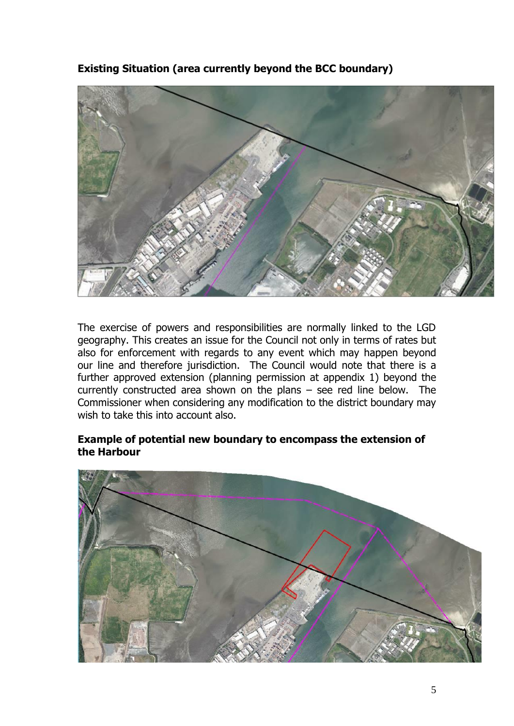**Existing Situation (area currently beyond the BCC boundary)**



The exercise of powers and responsibilities are normally linked to the LGD geography. This creates an issue for the Council not only in terms of rates but also for enforcement with regards to any event which may happen beyond our line and therefore jurisdiction. The Council would note that there is a further approved extension (planning permission at appendix 1) beyond the currently constructed area shown on the plans – see red line below. The Commissioner when considering any modification to the district boundary may wish to take this into account also.

### **Example of potential new boundary to encompass the extension of the Harbour**